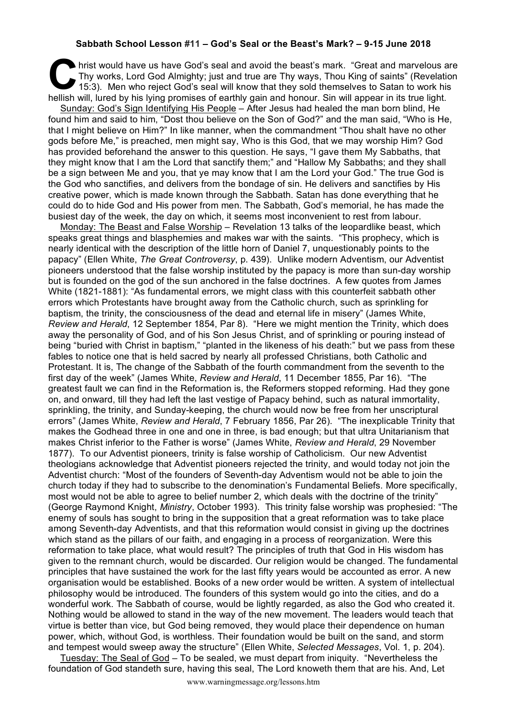## **Sabbath School Lesson #11 – God's Seal or the Beast's Mark? – 9-15 June 2018**

hrist would have us have God's seal and avoid the beast's mark. "Great and marvelous are Thy works, Lord God Almighty; just and true are Thy ways, Thou King of saints" (Revelation 15:3). Men who reject God's seal will know Thy works, Lord God Almighty; just and true are Thy ways, Thou King of saints" (Revelation 15:3). Men who reject God's seal will know that they sold themselves to Satan to work his hellish will, lured by his lying promises of earthly gain and honour. Sin will appear in its true light.

Sunday: God's Sign Identifying His People – After Jesus had healed the man born blind, He found him and said to him, "Dost thou believe on the Son of God?" and the man said, "Who is He, that I might believe on Him?" In like manner, when the commandment "Thou shalt have no other gods before Me," is preached, men might say, Who is this God, that we may worship Him? God has provided beforehand the answer to this question. He says, "I gave them My Sabbaths, that they might know that I am the Lord that sanctify them;" and "Hallow My Sabbaths; and they shall be a sign between Me and you, that ye may know that I am the Lord your God." The true God is the God who sanctifies, and delivers from the bondage of sin. He delivers and sanctifies by His creative power, which is made known through the Sabbath. Satan has done everything that he could do to hide God and His power from men. The Sabbath, God's memorial, he has made the busiest day of the week, the day on which, it seems most inconvenient to rest from labour.

Monday: The Beast and False Worship – Revelation 13 talks of the leopardlike beast, which speaks great things and blasphemies and makes war with the saints. "This prophecy, which is nearly identical with the description of the little horn of Daniel 7, unquestionably points to the papacy" (Ellen White, *The Great Controversy*, p. 439). Unlike modern Adventism, our Adventist pioneers understood that the false worship instituted by the papacy is more than sun-day worship but is founded on the god of the sun anchored in the false doctrines. A few quotes from James White (1821-1881): "As fundamental errors, we might class with this counterfeit sabbath other errors which Protestants have brought away from the Catholic church, such as sprinkling for baptism, the trinity, the consciousness of the dead and eternal life in misery" (James White, *Review and Herald*, 12 September 1854, Par 8). "Here we might mention the Trinity, which does away the personality of God, and of his Son Jesus Christ, and of sprinkling or pouring instead of being "buried with Christ in baptism," "planted in the likeness of his death:" but we pass from these fables to notice one that is held sacred by nearly all professed Christians, both Catholic and Protestant. It is, The change of the Sabbath of the fourth commandment from the seventh to the first day of the week" (James White, *Review and Herald*, 11 December 1855, Par 16). "The greatest fault we can find in the Reformation is, the Reformers stopped reforming. Had they gone on, and onward, till they had left the last vestige of Papacy behind, such as natural immortality, sprinkling, the trinity, and Sunday-keeping, the church would now be free from her unscriptural errors" (James White, *Review and Herald*, 7 February 1856, Par 26). "The inexplicable Trinity that makes the Godhead three in one and one in three, is bad enough; but that ultra Unitarianism that makes Christ inferior to the Father is worse" (James White, *Review and Herald*, 29 November 1877). To our Adventist pioneers, trinity is false worship of Catholicism. Our new Adventist theologians acknowledge that Adventist pioneers rejected the trinity, and would today not join the Adventist church: "Most of the founders of Seventh-day Adventism would not be able to join the church today if they had to subscribe to the denomination's Fundamental Beliefs. More specifically, most would not be able to agree to belief number 2, which deals with the doctrine of the trinity" (George Raymond Knight, *Ministry*, October 1993). This trinity false worship was prophesied: "The enemy of souls has sought to bring in the supposition that a great reformation was to take place among Seventh-day Adventists, and that this reformation would consist in giving up the doctrines which stand as the pillars of our faith, and engaging in a process of reorganization. Were this reformation to take place, what would result? The principles of truth that God in His wisdom has given to the remnant church, would be discarded. Our religion would be changed. The fundamental principles that have sustained the work for the last fifty years would be accounted as error. A new organisation would be established. Books of a new order would be written. A system of intellectual philosophy would be introduced. The founders of this system would go into the cities, and do a wonderful work. The Sabbath of course, would be lightly regarded, as also the God who created it. Nothing would be allowed to stand in the way of the new movement. The leaders would teach that virtue is better than vice, but God being removed, they would place their dependence on human power, which, without God, is worthless. Their foundation would be built on the sand, and storm and tempest would sweep away the structure" (Ellen White, *Selected Messages*, Vol. 1, p. 204).

Tuesday: The Seal of God – To be sealed, we must depart from iniquity. "Nevertheless the foundation of God standeth sure, having this seal, The Lord knoweth them that are his. And, Let